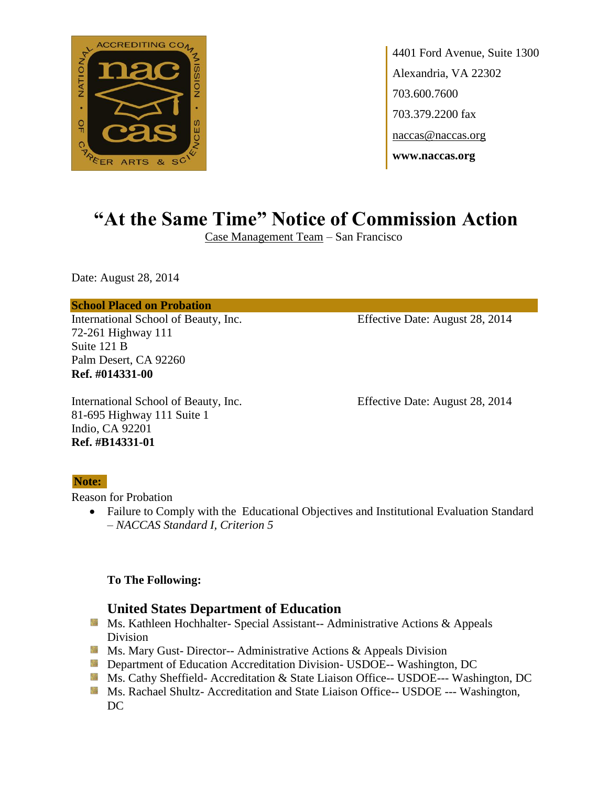

# **"At the Same Time" Notice of Commission Action**

Case Management Team – San Francisco

Date: August 28, 2014

#### **School Placed on Probation**

International School of Beauty, Inc. Effective Date: August 28, 2014 72-261 Highway 111 Suite 121 B Palm Desert, CA 92260 **Ref. #014331-00**

International School of Beauty, Inc. Effective Date: August 28, 2014 81-695 Highway 111 Suite 1 Indio, CA 92201 **Ref. #B14331-01**

#### **Note:**

Reason for Probation

 Failure to Comply with the Educational Objectives and Institutional Evaluation Standard – *NACCAS Standard I, Criterion 5*

#### **To The Following:**

- Ms. Kathleen Hochhalter- Special Assistant-- Administrative Actions & Appeals Division
- **Ms.** Mary Gust-Director-- Administrative Actions  $\&$  Appeals Division
- **Department of Education Accreditation Division- USDOE-- Washington, DC**
- Ms. Cathy Sheffield- Accreditation & State Liaison Office-- USDOE--- Washington, DC
- **Ms. Rachael Shultz- Accreditation and State Liaison Office-- USDOE --- Washington,** DC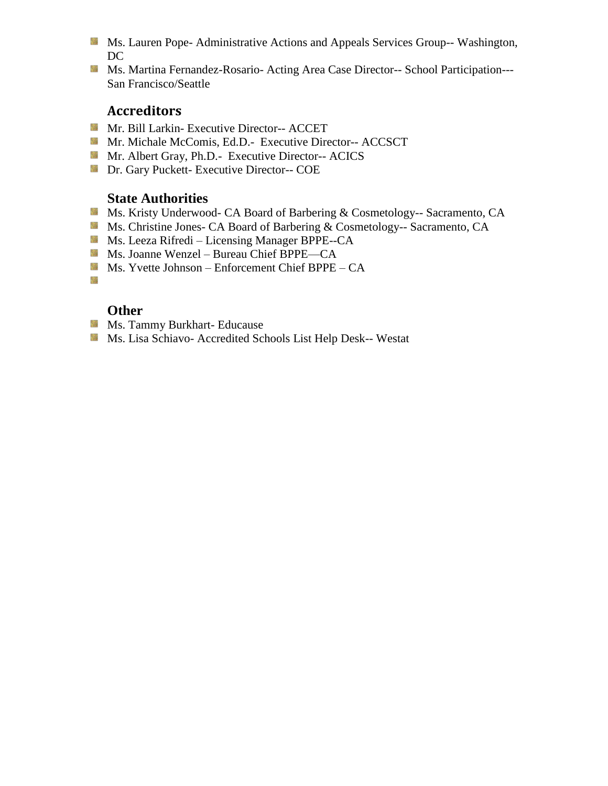- **Ms. Lauren Pope- Administrative Actions and Appeals Services Group-- Washington,** DC
- Ms. Martina Fernandez-Rosario- Acting Area Case Director-- School Participation---San Francisco/Seattle

- **Mr. Bill Larkin- Executive Director-- ACCET**
- Mr. Michale McComis, Ed.D.- Executive Director-- ACCSCT
- Mr. Albert Gray, Ph.D.- Executive Director-- ACICS
- **Dr.** Gary Puckett- Executive Director-- COE

## **State Authorities**

- Ms. Kristy Underwood- CA Board of Barbering & Cosmetology-- Sacramento, CA
- Ms. Christine Jones- CA Board of Barbering & Cosmetology-- Sacramento, CA
- Ms. Leeza Rifredi Licensing Manager BPPE--CA
- Ms. Joanne Wenzel Bureau Chief BPPE—CA
- $M_s$ . Yvette Johnson Enforcement Chief BPPE CA
- Sis

- **Ms. Tammy Burkhart- Educause**
- Ms. Lisa Schiavo- Accredited Schools List Help Desk-- Westat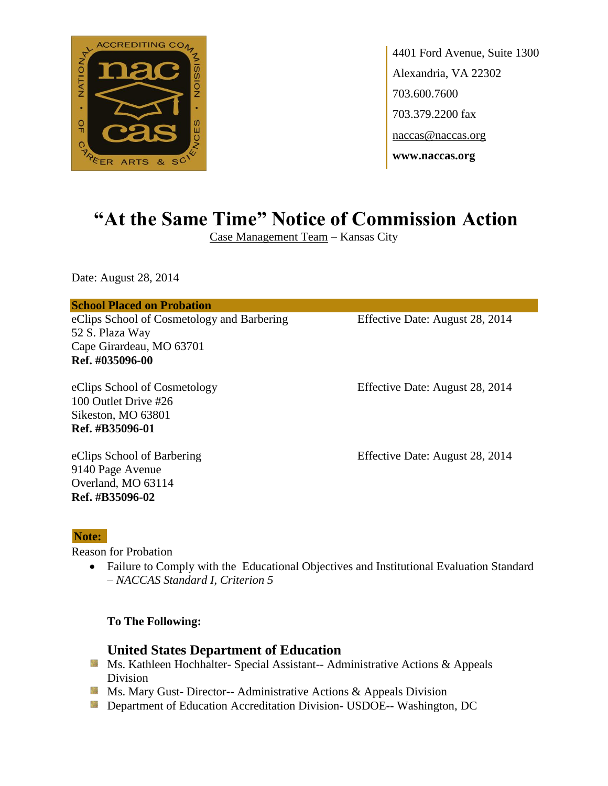

# **"At the Same Time" Notice of Commission Action**

Case Management Team – Kansas City

Date: August 28, 2014

#### **School Placed on Probation**

eClips School of Cosmetology and Barbering Effective Date: August 28, 2014 52 S. Plaza Way Cape Girardeau, MO 63701 **Ref. #035096-00**

100 Outlet Drive #26 Sikeston, MO 63801 **Ref. #B35096-01**

eClips School of Cosmetology Effective Date: August 28, 2014

9140 Page Avenue Overland, MO 63114 **Ref. #B35096-02**

eClips School of Barbering Effective Date: August 28, 2014

#### **Note:**

Reason for Probation

• Failure to Comply with the Educational Objectives and Institutional Evaluation Standard – *NACCAS Standard I, Criterion 5*

**To The Following:**

- **Ms. Kathleen Hochhalter- Special Assistant-- Administrative Actions & Appeals** Division
- **MS. Mary Gust- Director-- Administrative Actions & Appeals Division**
- **Example 20 Interversity Department of Education Accreditation Division- USDOE-- Washington, DC**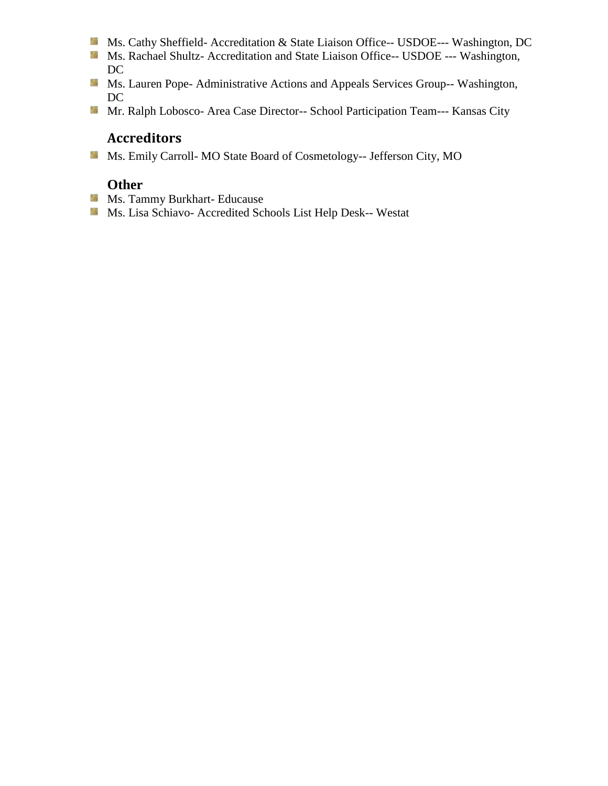- Ms. Cathy Sheffield- Accreditation & State Liaison Office-- USDOE--- Washington, DC
- Ms. Rachael Shultz- Accreditation and State Liaison Office-- USDOE --- Washington, DC
- Ms. Lauren Pope- Administrative Actions and Appeals Services Group-- Washington, DC
- Mr. Ralph Lobosco- Area Case Director-- School Participation Team--- Kansas City

Ms. Emily Carroll- MO State Board of Cosmetology-- Jefferson City, MO

- **Ms. Tammy Burkhart- Educause**
- Ms. Lisa Schiavo- Accredited Schools List Help Desk-- Westat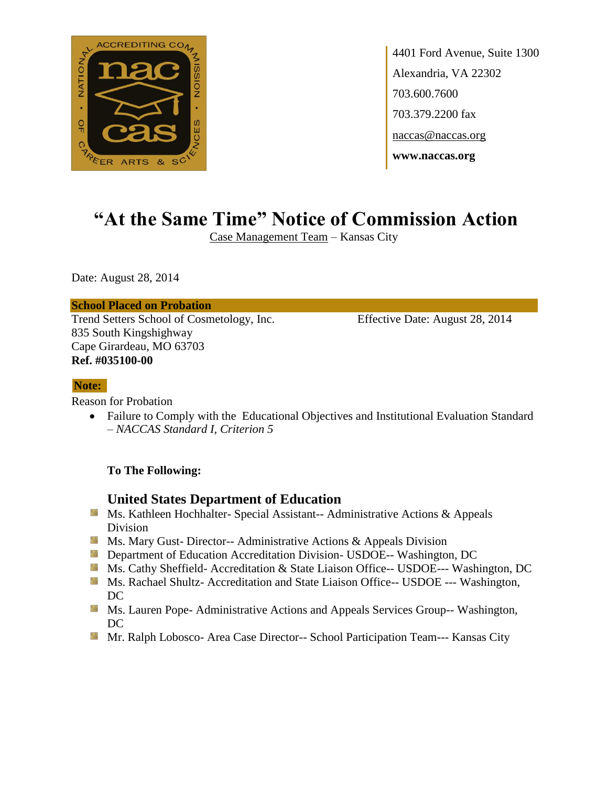

# **"At the Same Time" Notice of Commission Action**

Case Management Team – Kansas City

Date: August 28, 2014

#### **School Placed on Probation**

Trend Setters School of Cosmetology, Inc. Effective Date: August 28, 2014 835 South Kingshighway Cape Girardeau, MO 63703 **Ref. #035100-00**

#### **Note:**

Reason for Probation

• Failure to Comply with the Educational Objectives and Institutional Evaluation Standard – *NACCAS Standard I, Criterion 5*

#### **To The Following:**

- Ms. Kathleen Hochhalter- Special Assistant-- Administrative Actions & Appeals Division
- **MS.** Ms. Mary Gust- Director-- Administrative Actions & Appeals Division
- **Department of Education Accreditation Division- USDOE-- Washington, DC**
- Ms. Cathy Sheffield- Accreditation & State Liaison Office-- USDOE--- Washington, DC
- **MS. Rachael Shultz- Accreditation and State Liaison Office-- USDOE --- Washington,** DC
- **MS. Lauren Pope- Administrative Actions and Appeals Services Group-- Washington,** DC
- Mr. Ralph Lobosco- Area Case Director-- School Participation Team--- Kansas City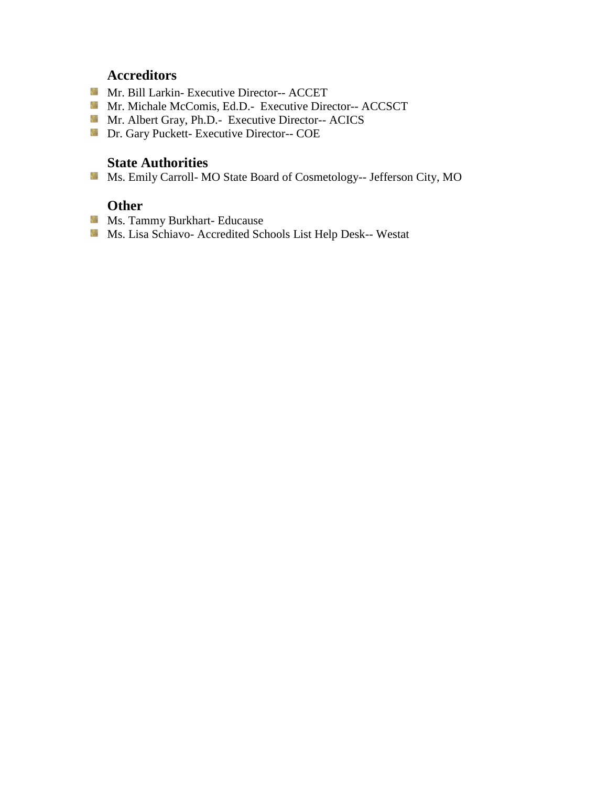- Mr. Bill Larkin- Executive Director-- ACCET
- Mr. Michale McComis, Ed.D.- Executive Director-- ACCSCT
- Mr. Albert Gray, Ph.D.- Executive Director-- ACICS
- **Dr.** Gary Puckett- Executive Director-- COE

## **State Authorities**

Ms. Emily Carroll- MO State Board of Cosmetology-- Jefferson City, MO

- **Ms. Tammy Burkhart- Educause**
- Ms. Lisa Schiavo- Accredited Schools List Help Desk-- Westat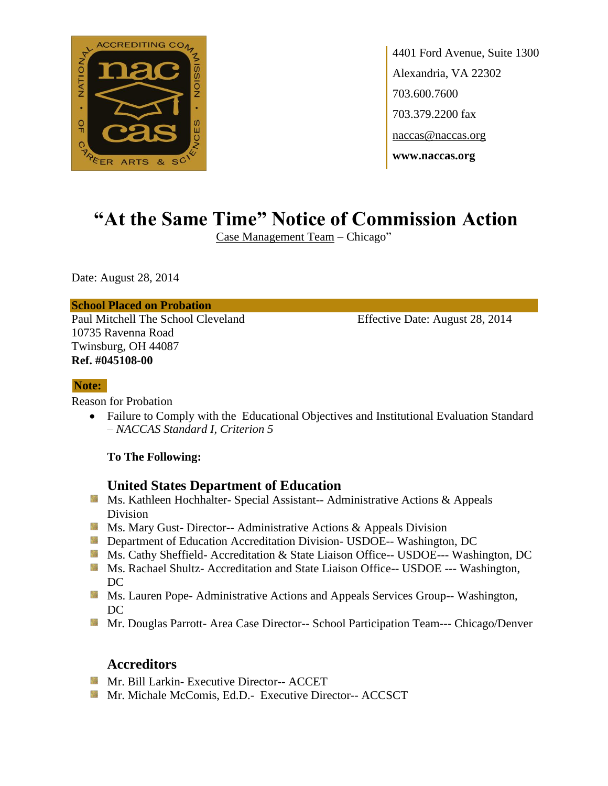

# **"At the Same Time" Notice of Commission Action**

Case Management Team – Chicago"

Date: August 28, 2014

#### **School Placed on Probation**

Paul Mitchell The School Cleveland Effective Date: August 28, 2014 10735 Ravenna Road Twinsburg, OH 44087 **Ref. #045108-00**

#### **Note:**

Reason for Probation

• Failure to Comply with the Educational Objectives and Institutional Evaluation Standard – *NACCAS Standard I, Criterion 5*

#### **To The Following:**

## **United States Department of Education**

- Ms. Kathleen Hochhalter- Special Assistant-- Administrative Actions & Appeals Division
- **Ms.** Ms. Mary Gust- Director-- Administrative Actions  $\&$  Appeals Division
- **Department of Education Accreditation Division- USDOE-- Washington, DC**
- Ms. Cathy Sheffield- Accreditation & State Liaison Office-- USDOE--- Washington, DC
- **Ms. Rachael Shultz- Accreditation and State Liaison Office-- USDOE --- Washington,** DC
- **Ms. Lauren Pope- Administrative Actions and Appeals Services Group-- Washington,** DC
- Mr. Douglas Parrott- Area Case Director-- School Participation Team--- Chicago/Denver

## **Accreditors**

- **Mr. Bill Larkin- Executive Director-- ACCET**
- **Mr. Michale McComis, Ed.D.** Executive Director-- ACCSCT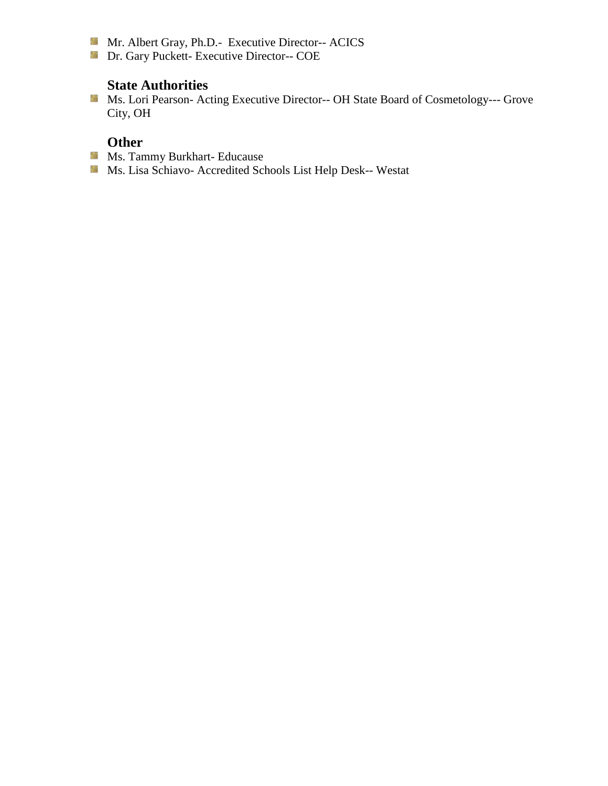- Mr. Albert Gray, Ph.D.- Executive Director-- ACICS
- **Dr. Gary Puckett- Executive Director-- COE**

## **State Authorities**

Ms. Lori Pearson- Acting Executive Director-- OH State Board of Cosmetology--- Grove City, OH

- **Ms. Tammy Burkhart- Educause**
- Ms. Lisa Schiavo- Accredited Schools List Help Desk-- Westat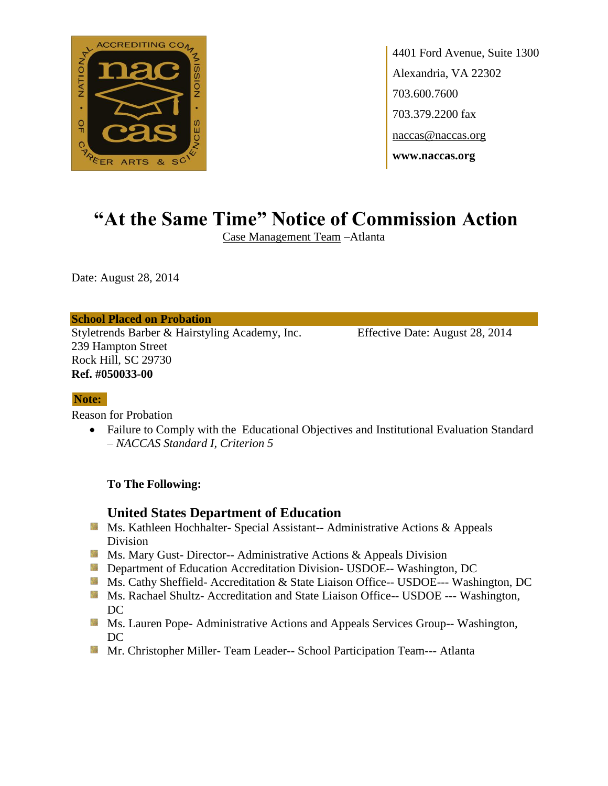

# **"At the Same Time" Notice of Commission Action**

Case Management Team –Atlanta

Date: August 28, 2014

#### **School Placed on Probation**

Styletrends Barber & Hairstyling Academy, Inc. Effective Date: August 28, 2014 239 Hampton Street Rock Hill, SC 29730 **Ref. #050033-00**

#### **Note:**

Reason for Probation

• Failure to Comply with the Educational Objectives and Institutional Evaluation Standard – *NACCAS Standard I, Criterion 5*

#### **To The Following:**

- **MS. Kathleen Hochhalter- Special Assistant-- Administrative Actions & Appeals** Division
- **MS. Mary Gust- Director-- Administrative Actions & Appeals Division**
- **Department of Education Accreditation Division- USDOE-- Washington, DC**
- Ms. Cathy Sheffield- Accreditation & State Liaison Office-- USDOE--- Washington, DC
- **Ms. Rachael Shultz- Accreditation and State Liaison Office-- USDOE --- Washington,** DC
- **MS. Lauren Pope- Administrative Actions and Appeals Services Group-- Washington,** DC
- Mr. Christopher Miller- Team Leader-- School Participation Team--- Atlanta